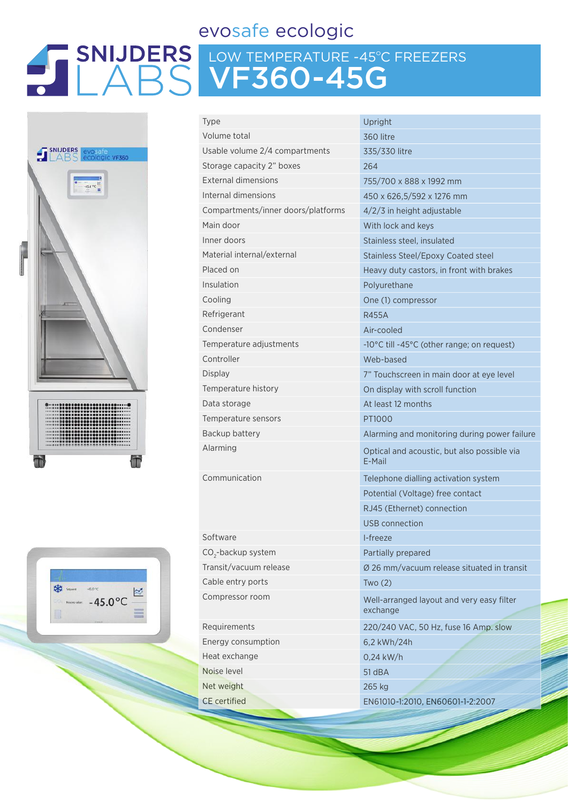## evosafe ecologic

# LOW TEMPERATURE -45ºC FREEZERS VF360-45G





| Type                               | Upright                                               |
|------------------------------------|-------------------------------------------------------|
| Volume total                       | 360 litre                                             |
| Usable volume 2/4 compartments     | 335/330 litre                                         |
| Storage capacity 2" boxes          | 264                                                   |
| <b>External dimensions</b>         | 755/700 x 888 x 1992 mm                               |
| Internal dimensions                | 450 x 626,5/592 x 1276 mm                             |
| Compartments/inner doors/platforms | 4/2/3 in height adjustable                            |
| Main door                          | With lock and keys                                    |
| Inner doors                        | Stainless steel, insulated                            |
| Material internal/external         | <b>Stainless Steel/Epoxy Coated steel</b>             |
| Placed on                          | Heavy duty castors, in front with brakes              |
| Insulation                         | Polyurethane                                          |
| Cooling                            | One (1) compressor                                    |
| Refrigerant                        | <b>R455A</b>                                          |
| Condenser                          | Air-cooled                                            |
| Temperature adjustments            | -10°C till -45°C (other range; on request)            |
| Controller                         | Web-based                                             |
| <b>Display</b>                     | 7" Touchscreen in main door at eye level              |
| Temperature history                | On display with scroll function                       |
| Data storage                       | At least 12 months                                    |
| Temperature sensors                | PT1000                                                |
| Backup battery                     | Alarming and monitoring during power failure          |
| Alarming                           | Optical and acoustic, but also possible via<br>E-Mail |
| Communication                      | Telephone dialling activation system                  |
|                                    | Potential (Voltage) free contact                      |
|                                    | RJ45 (Ethernet) connection                            |
|                                    | USB connection                                        |
| Software                           | I-freeze                                              |
| CO <sub>2</sub> -backup system     | Partially prepared                                    |
| Transit/vacuum release             | Ø 26 mm/vacuum release situated in transit            |
| Cable entry ports                  | Two(2)                                                |
| Compressor room                    | Well-arranged layout and very easy filter<br>exchange |
| Requirements                       | 220/240 VAC, 50 Hz, fuse 16 Amp. slow                 |
| Energy consumption                 | 6,2 kWh/24h                                           |
| Heat exchange                      | $0,24$ kW/h                                           |
| Noise level                        | 51 dBA                                                |
| Net weight                         | 265 kg                                                |
| <b>CE</b> certified                | EN61010-1:2010, EN60601-1-2:2007                      |